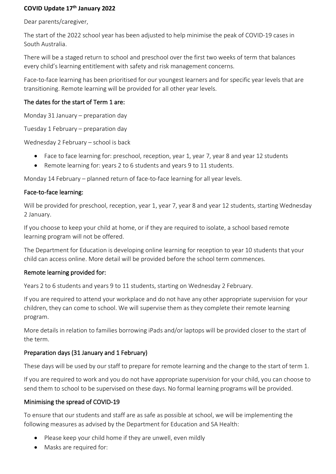# **COVID Update 17th January 2022**

Dear parents/caregiver,

The start of the 2022 school year has been adjusted to help minimise the peak of COVID-19 cases in South Australia.

There will be a staged return to school and preschool over the first two weeks of term that balances every child's learning entitlement with safety and risk management concerns.

Face-to-face learning has been prioritised for our youngest learners and for specific year levels that are transitioning. Remote learning will be provided for all other year levels.

# The dates for the start of Term 1 are:

Monday 31 January – preparation day

Tuesday 1 February – preparation day

Wednesday 2 February – school is back

- Face to face learning for: preschool, reception, year 1, year 7, year 8 and year 12 students
- Remote learning for: years 2 to 6 students and years 9 to 11 students.

Monday 14 February – planned return of face-to-face learning for all year levels.

## Face-to-face learning:

Will be provided for preschool, reception, year 1, year 7, year 8 and year 12 students, starting Wednesday 2 January.

If you choose to keep your child at home, or if they are required to isolate, a school based remote learning program will not be offered.

The Department for Education is developing online learning for reception to year 10 students that your child can access online. More detail will be provided before the school term commences.

## Remote learning provided for:

Years 2 to 6 students and years 9 to 11 students, starting on Wednesday 2 February.

If you are required to attend your workplace and do not have any other appropriate supervision for your children, they can come to school. We will supervise them as they complete their remote learning program.

More details in relation to families borrowing iPads and/or laptops will be provided closer to the start of the term.

## Preparation days (31 January and 1 February)

These days will be used by our staff to prepare for remote learning and the change to the start of term 1.

If you are required to work and you do not have appropriate supervision for your child, you can choose to send them to school to be supervised on these days. No formal learning programs will be provided.

## Minimising the spread of COVID-19

To ensure that our students and staff are as safe as possible at school, we will be implementing the following measures as advised by the Department for Education and SA Health:

- Please keep your child home if they are unwell, even mildly
- Masks are required for: